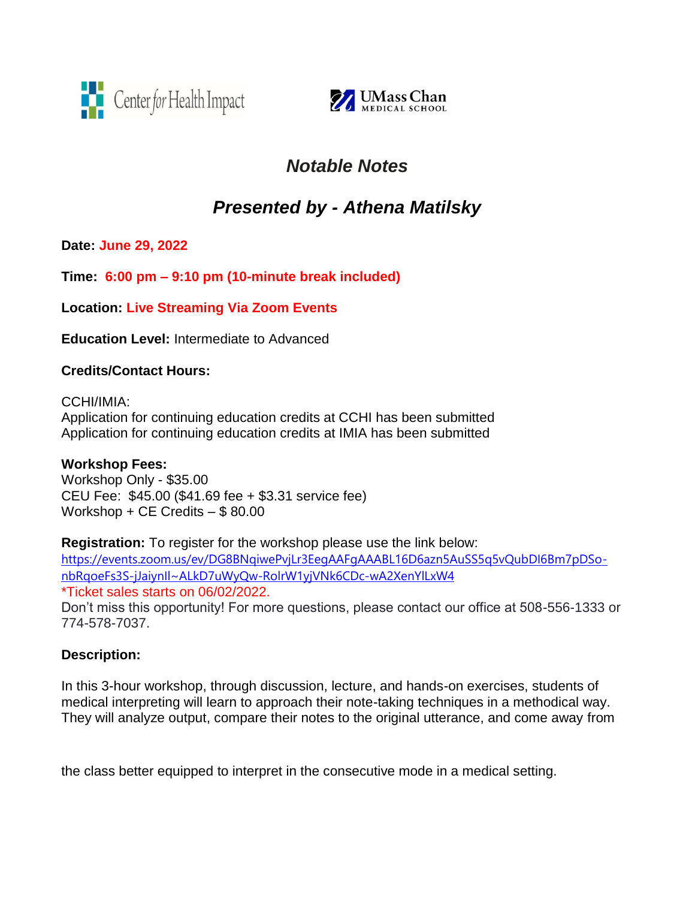



## *Notable Notes*

# *Presented by - Athena Matilsky*

**Date: June 29, 2022**

**Time: 6:00 pm – 9:10 pm (10-minute break included)** 

**Location: Live Streaming Via Zoom Events**

**Education Level:** Intermediate to Advanced

#### **Credits/Contact Hours:**

CCHI/IMIA: Application for continuing education credits at CCHI has been submitted Application for continuing education credits at IMIA has been submitted

## **Workshop Fees:**

Workshop Only - \$35.00 CEU Fee: \$45.00 (\$41.69 fee + \$3.31 service fee) Workshop + CE Credits – \$ 80.00

**Registration:** To register for the workshop please use the link below: [https://events.zoom.us/ev/DG8BNqiwePvjLr3EegAAFgAAABL16D6azn5AuSS5q5vQubDI6Bm7pDSo](about:blank)[nbRqoeFs3S-jJaiynIl~ALkD7uWyQw-RolrW1yjVNk6CDc-wA2XenYlLxW4](about:blank) \*Ticket sales starts on 06/02/2022. Don't miss this opportunity! For more questions, please contact our office at 508-556-1333 or 774-578-7037.

## **Description:**

In this 3-hour workshop, through discussion, lecture, and hands-on exercises, students of medical interpreting will learn to approach their note-taking techniques in a methodical way. They will analyze output, compare their notes to the original utterance, and come away from

the class better equipped to interpret in the consecutive mode in a medical setting.